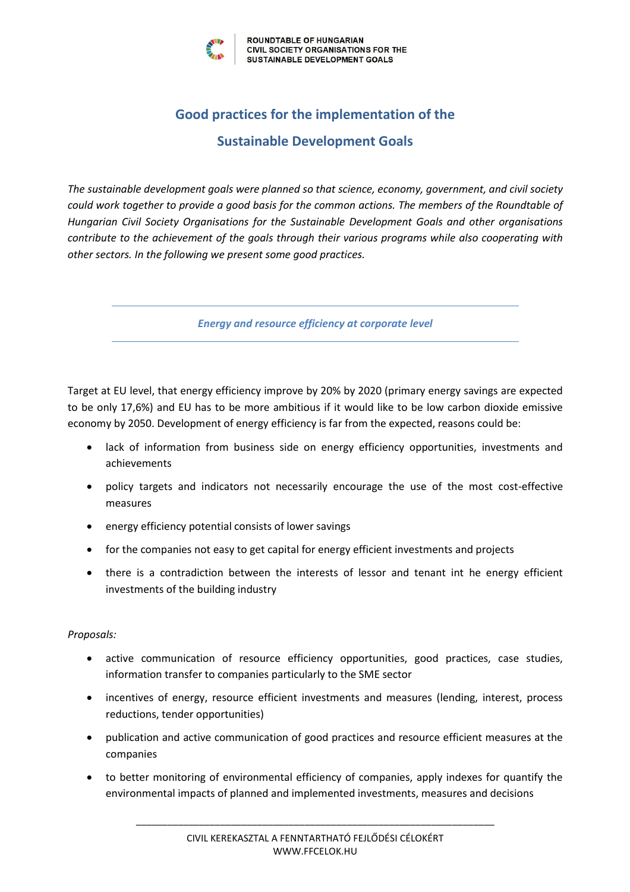

# **Good practices for the implementation of the Sustainable Development Goals**

*The sustainable development goals were planned so that science, economy, government, and civil society could work together to provide a good basis for the common actions. The members of the Roundtable of Hungarian Civil Society Organisations for the Sustainable Development Goals and other organisations contribute to the achievement of the goals through their various programs while also cooperating with other sectors. In the following we present some good practices.*

*Energy and resource efficiency at corporate level*

Target at EU level, that energy efficiency improve by 20% by 2020 (primary energy savings are expected to be only 17,6%) and EU has to be more ambitious if it would like to be low carbon dioxide emissive economy by 2050. Development of energy efficiency is far from the expected, reasons could be:

- lack of information from business side on energy efficiency opportunities, investments and achievements
- policy targets and indicators not necessarily encourage the use of the most cost-effective measures
- energy efficiency potential consists of lower savings
- for the companies not easy to get capital for energy efficient investments and projects
- there is a contradiction between the interests of lessor and tenant int he energy efficient investments of the building industry

## *Proposals:*

- active communication of resource efficiency opportunities, good practices, case studies, information transfer to companies particularly to the SME sector
- incentives of energy, resource efficient investments and measures (lending, interest, process reductions, tender opportunities)
- publication and active communication of good practices and resource efficient measures at the companies
- to better monitoring of environmental efficiency of companies, apply indexes for quantify the environmental impacts of planned and implemented investments, measures and decisions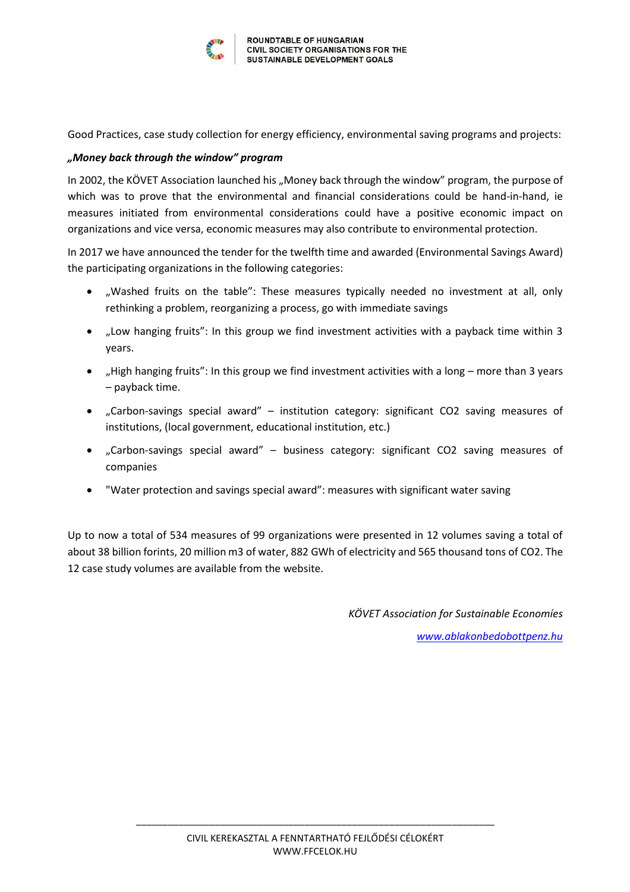

Good Practices, case study collection for energy efficiency, environmental saving programs and projects:

## *"Money back through the window" program*

In 2002, the KÖVET Association launched his "Money back through the window" program, the purpose of which was to prove that the environmental and financial considerations could be hand-in-hand, ie measures initiated from environmental considerations could have a positive economic impact on organizations and vice versa, economic measures may also contribute to environmental protection.

In 2017 we have announced the tender for the twelfth time and awarded (Environmental Savings Award) the participating organizations in the following categories:

- "Washed fruits on the table": These measures typically needed no investment at all, only rethinking a problem, reorganizing a process, go with immediate savings
- "Low hanging fruits": In this group we find investment activities with a payback time within 3 years.
- "High hanging fruits": In this group we find investment activities with a long  $-$  more than 3 years – payback time.
- "Carbon-savings special award" institution category: significant CO2 saving measures of institutions, (local government, educational institution, etc.)
- "Carbon-savings special award" business category: significant CO2 saving measures of companies
- "Water protection and savings special award": measures with significant water saving

Up to now a total of 534 measures of 99 organizations were presented in 12 volumes saving a total of about 38 billion forints, 20 million m3 of water, 882 GWh of electricity and 565 thousand tons of CO2. The 12 case study volumes are available from the website.

*KÖVET Association for Sustainable Economíes*

*<www.ablakonbedobottpenz.hu>*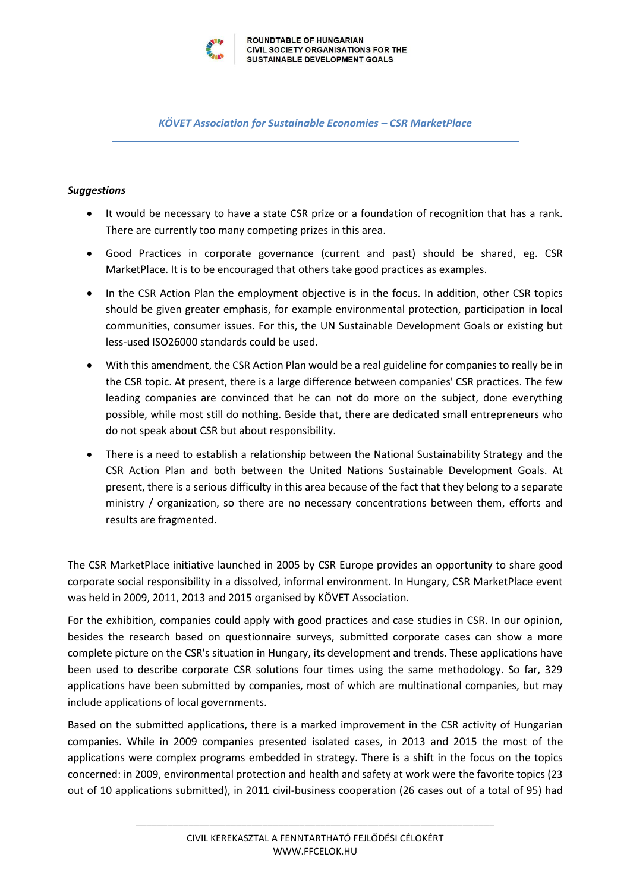

*KÖVET Association for Sustainable Economies – CSR MarketPlace*

## *Suggestions*

- It would be necessary to have a state CSR prize or a foundation of recognition that has a rank. There are currently too many competing prizes in this area.
- Good Practices in corporate governance (current and past) should be shared, eg. CSR MarketPlace. It is to be encouraged that others take good practices as examples.
- In the CSR Action Plan the employment objective is in the focus. In addition, other CSR topics should be given greater emphasis, for example environmental protection, participation in local communities, consumer issues. For this, the UN Sustainable Development Goals or existing but less-used ISO26000 standards could be used.
- With this amendment, the CSR Action Plan would be a real guideline for companies to really be in the CSR topic. At present, there is a large difference between companies' CSR practices. The few leading companies are convinced that he can not do more on the subject, done everything possible, while most still do nothing. Beside that, there are dedicated small entrepreneurs who do not speak about CSR but about responsibility.
- There is a need to establish a relationship between the National Sustainability Strategy and the CSR Action Plan and both between the United Nations Sustainable Development Goals. At present, there is a serious difficulty in this area because of the fact that they belong to a separate ministry / organization, so there are no necessary concentrations between them, efforts and results are fragmented.

The CSR MarketPlace initiative launched in 2005 by CSR Europe provides an opportunity to share good corporate social responsibility in a dissolved, informal environment. In Hungary, CSR MarketPlace event was held in 2009, 2011, 2013 and 2015 organised by KÖVET Association.

For the exhibition, companies could apply with good practices and case studies in CSR. In our opinion, besides the research based on questionnaire surveys, submitted corporate cases can show a more complete picture on the CSR's situation in Hungary, its development and trends. These applications have been used to describe corporate CSR solutions four times using the same methodology. So far, 329 applications have been submitted by companies, most of which are multinational companies, but may include applications of local governments.

Based on the submitted applications, there is a marked improvement in the CSR activity of Hungarian companies. While in 2009 companies presented isolated cases, in 2013 and 2015 the most of the applications were complex programs embedded in strategy. There is a shift in the focus on the topics concerned: in 2009, environmental protection and health and safety at work were the favorite topics (23 out of 10 applications submitted), in 2011 civil-business cooperation (26 cases out of a total of 95) had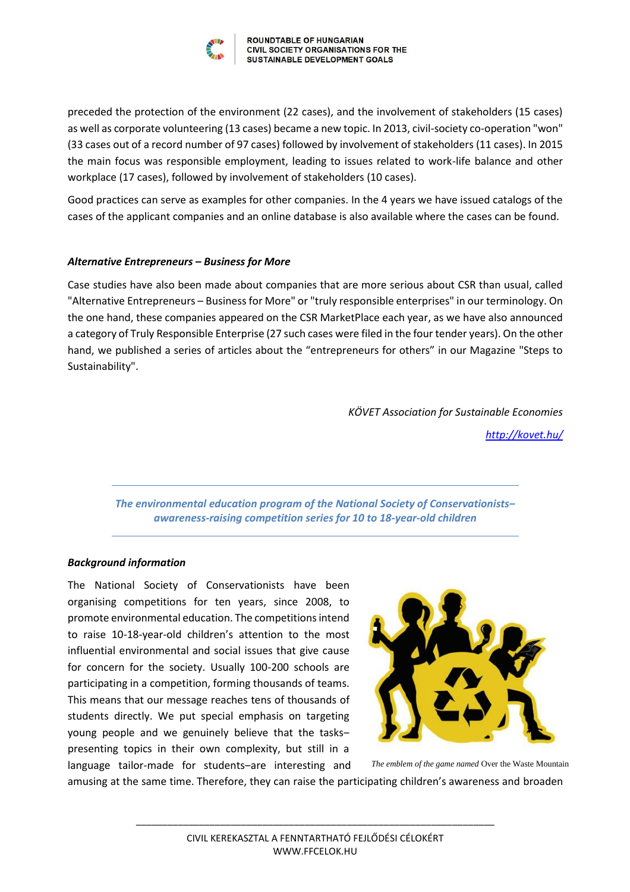

preceded the protection of the environment (22 cases), and the involvement of stakeholders (15 cases) as well as corporate volunteering (13 cases) became a new topic. In 2013, civil-society co-operation "won" (33 cases out of a record number of 97 cases) followed by involvement of stakeholders (11 cases). In 2015 the main focus was responsible employment, leading to issues related to work-life balance and other workplace (17 cases), followed by involvement of stakeholders (10 cases).

Good practices can serve as examples for other companies. In the 4 years we have issued catalogs of the cases of the applicant companies and an online database is also available where the cases can be found.

## *Alternative Entrepreneurs – Business for More*

Case studies have also been made about companies that are more serious about CSR than usual, called "Alternative Entrepreneurs – Business for More" or "truly responsible enterprises" in our terminology. On the one hand, these companies appeared on the CSR MarketPlace each year, as we have also announced a category of Truly Responsible Enterprise (27 such cases were filed in the four tender years). On the other hand, we published a series of articles about the "entrepreneurs for others" in our Magazine "Steps to Sustainability".

*KÖVET Association for Sustainable Economies* 

*<http://kovet.hu/>*

*The environmental education program of the National Society of Conservationists‒ awareness-raising competition series for 10 to 18-year-old children*

#### *Background information*

The National Society of Conservationists have been organising competitions for ten years, since 2008, to promote environmental education. The competitions intend to raise 10-18-year-old children's attention to the most influential environmental and social issues that give cause for concern for the society. Usually 100-200 schools are participating in a competition, forming thousands of teams. This means that our message reaches tens of thousands of students directly. We put special emphasis on targeting young people and we genuinely believe that the taskspresenting topics in their own complexity, but still in a language tailor-made for students-are interesting and



*The emblem of the game named* Over the Waste Mountain

amusing at the same time. Therefore, they can raise the participating children's awareness and broaden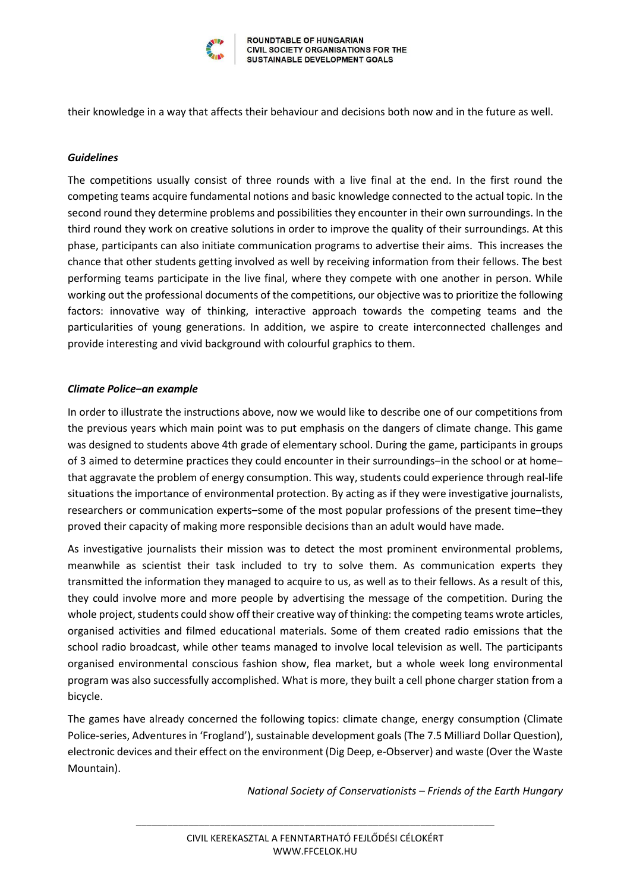

their knowledge in a way that affects their behaviour and decisions both now and in the future as well.

## *Guidelines*

The competitions usually consist of three rounds with a live final at the end. In the first round the competing teams acquire fundamental notions and basic knowledge connected to the actual topic. In the second round they determine problems and possibilities they encounter in their own surroundings. In the third round they work on creative solutions in order to improve the quality of their surroundings. At this phase, participants can also initiate communication programs to advertise their aims. This increases the chance that other students getting involved as well by receiving information from their fellows. The best performing teams participate in the live final, where they compete with one another in person. While working out the professional documents of the competitions, our objective was to prioritize the following factors: innovative way of thinking, interactive approach towards the competing teams and the particularities of young generations. In addition, we aspire to create interconnected challenges and provide interesting and vivid background with colourful graphics to them.

## *Climate Police‒an example*

In order to illustrate the instructions above, now we would like to describe one of our competitions from the previous years which main point was to put emphasis on the dangers of climate change. This game was designed to students above 4th grade of elementary school. During the game, participants in groups of 3 aimed to determine practices they could encounter in their surroundings-in the school or at homethat aggravate the problem of energy consumption. This way, students could experience through real-life situations the importance of environmental protection. By acting as if they were investigative journalists, researchers or communication experts-some of the most popular professions of the present time-they proved their capacity of making more responsible decisions than an adult would have made.

As investigative journalists their mission was to detect the most prominent environmental problems, meanwhile as scientist their task included to try to solve them. As communication experts they transmitted the information they managed to acquire to us, as well as to their fellows. As a result of this, they could involve more and more people by advertising the message of the competition. During the whole project, students could show off their creative way of thinking: the competing teams wrote articles, organised activities and filmed educational materials. Some of them created radio emissions that the school radio broadcast, while other teams managed to involve local television as well. The participants organised environmental conscious fashion show, flea market, but a whole week long environmental program was also successfully accomplished. What is more, they built a cell phone charger station from a bicycle.

The games have already concerned the following topics: climate change, energy consumption (Climate Police-series, Adventures in 'Frogland'), sustainable development goals (The 7.5 Milliard Dollar Question), electronic devices and their effect on the environment (Dig Deep, e-Observer) and waste (Over the Waste Mountain).

*National Society of Conservationists – Friends of the Earth Hungary*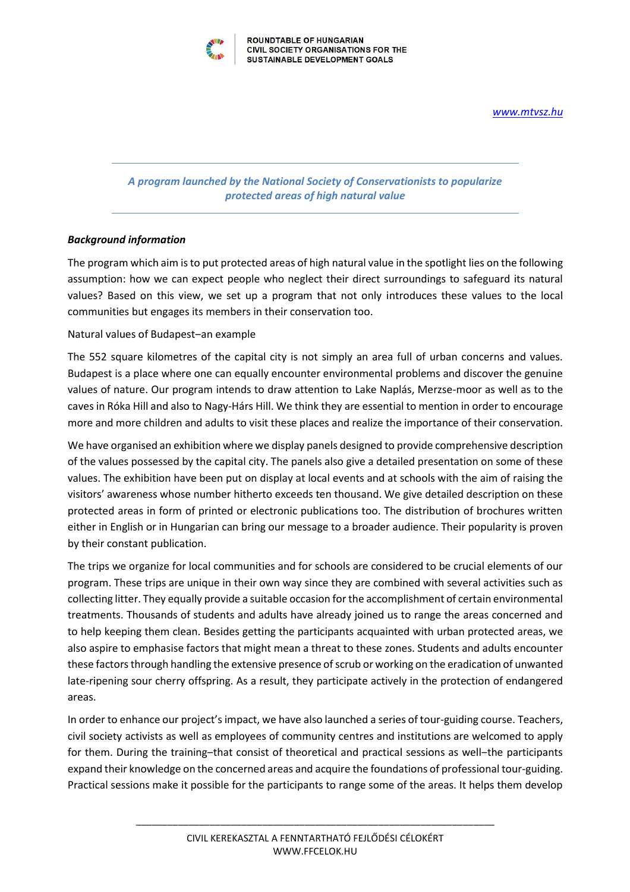*<www.mtvsz.hu>*



**ROUNDTABLE OF HUNGARIAN** CIVIL SOCIETY ORGANISATIONS FOR THE SUSTAINABLE DEVELOPMENT GOALS

## *A program launched by the National Society of Conservationists to popularize protected areas of high natural value*

## *Background information*

The program which aim is to put protected areas of high natural value in the spotlight lies on the following assumption: how we can expect people who neglect their direct surroundings to safeguard its natural values? Based on this view, we set up a program that not only introduces these values to the local communities but engages its members in their conservation too.

## Natural values of Budapest-an example

The 552 square kilometres of the capital city is not simply an area full of urban concerns and values. Budapest is a place where one can equally encounter environmental problems and discover the genuine values of nature. Our program intends to draw attention to Lake Naplás, Merzse-moor as well as to the caves in Róka Hill and also to Nagy-Hárs Hill. We think they are essential to mention in order to encourage more and more children and adults to visit these places and realize the importance of their conservation.

We have organised an exhibition where we display panels designed to provide comprehensive description of the values possessed by the capital city. The panels also give a detailed presentation on some of these values. The exhibition have been put on display at local events and at schools with the aim of raising the visitors' awareness whose number hitherto exceeds ten thousand. We give detailed description on these protected areas in form of printed or electronic publications too. The distribution of brochures written either in English or in Hungarian can bring our message to a broader audience. Their popularity is proven by their constant publication.

The trips we organize for local communities and for schools are considered to be crucial elements of our program. These trips are unique in their own way since they are combined with several activities such as collecting litter. They equally provide a suitable occasion for the accomplishment of certain environmental treatments. Thousands of students and adults have already joined us to range the areas concerned and to help keeping them clean. Besides getting the participants acquainted with urban protected areas, we also aspire to emphasise factors that might mean a threat to these zones. Students and adults encounter these factors through handling the extensive presence of scrub or working on the eradication of unwanted late-ripening sour cherry offspring. As a result, they participate actively in the protection of endangered areas.

In order to enhance our project's impact, we have also launched a series of tour-guiding course. Teachers, civil society activists as well as employees of community centres and institutions are welcomed to apply for them. During the training-that consist of theoretical and practical sessions as well-the participants expand their knowledge on the concerned areas and acquire the foundations of professional tour-guiding. Practical sessions make it possible for the participants to range some of the areas. It helps them develop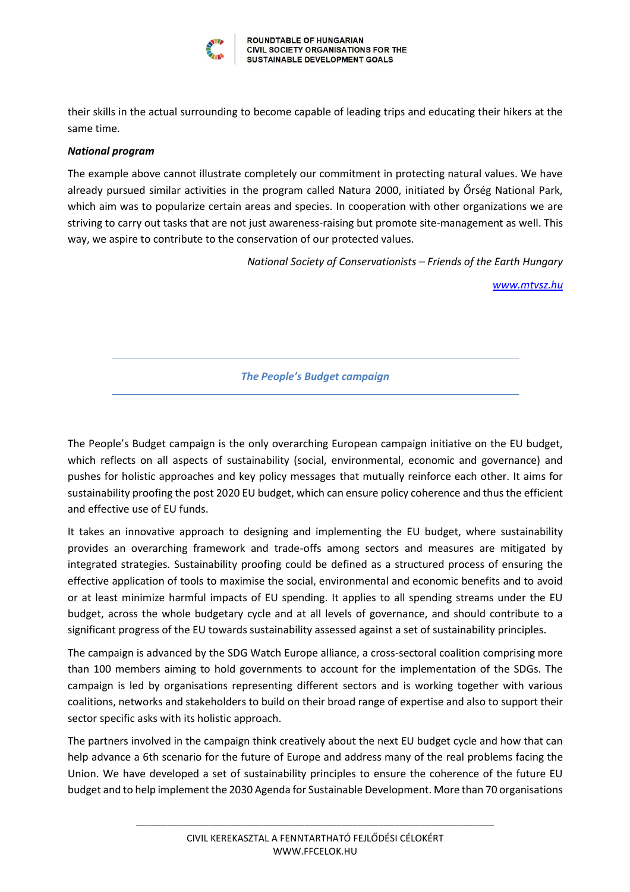

their skills in the actual surrounding to become capable of leading trips and educating their hikers at the same time.

#### *National program*

The example above cannot illustrate completely our commitment in protecting natural values. We have already pursued similar activities in the program called Natura 2000, initiated by Őrség National Park, which aim was to popularize certain areas and species. In cooperation with other organizations we are striving to carry out tasks that are not just awareness-raising but promote site-management as well. This way, we aspire to contribute to the conservation of our protected values.

*National Society of Conservationists – Friends of the Earth Hungary*

*<www.mtvsz.hu>*

*The People's Budget campaign*

The People's Budget campaign is the only overarching European campaign initiative on the EU budget, which reflects on all aspects of sustainability (social, environmental, economic and governance) and pushes for holistic approaches and key policy messages that mutually reinforce each other. It aims for sustainability proofing the post 2020 EU budget, which can ensure policy coherence and thus the efficient and effective use of EU funds.

It takes an innovative approach to designing and implementing the EU budget, where sustainability provides an overarching framework and trade-offs among sectors and measures are mitigated by integrated strategies. Sustainability proofing could be defined as a structured process of ensuring the effective application of tools to maximise the social, environmental and economic benefits and to avoid or at least minimize harmful impacts of EU spending. It applies to all spending streams under the EU budget, across the whole budgetary cycle and at all levels of governance, and should contribute to a significant progress of the EU towards sustainability assessed against a set of sustainability principles.

The campaign is advanced by the SDG Watch Europe alliance, a cross-sectoral coalition comprising more than 100 members aiming to hold governments to account for the implementation of the SDGs. The campaign is led by organisations representing different sectors and is working together with various coalitions, networks and stakeholders to build on their broad range of expertise and also to support their sector specific asks with its holistic approach.

The partners involved in the campaign think creatively about the next EU budget cycle and how that can help advance a 6th scenario for the future of Europe and address many of the real problems facing the Union. We have developed a set of sustainability principles to ensure the coherence of the future EU budget and to help implement the 2030 Agenda for Sustainable Development. More than 70 organisations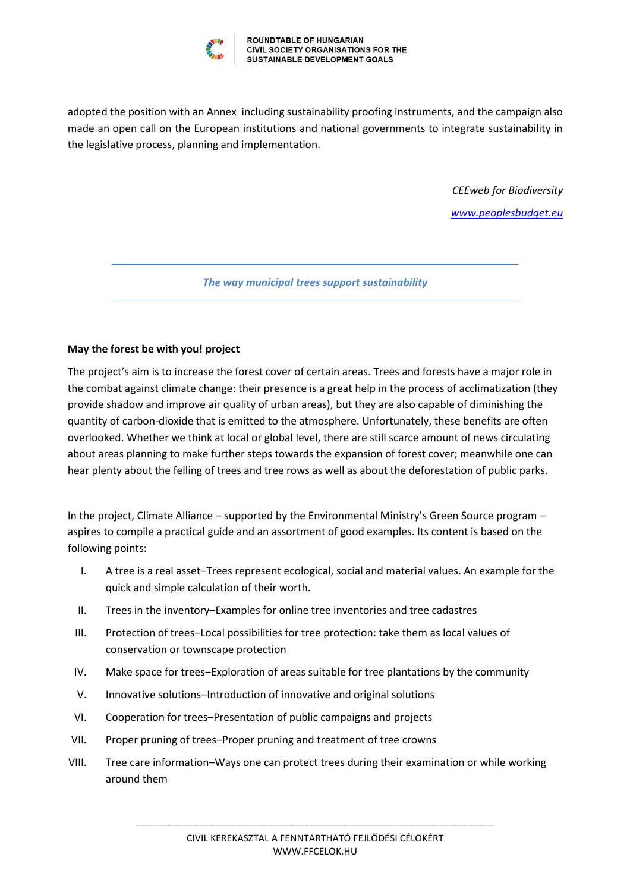

adopted the position with an Annex including sustainability proofing instruments, and the campaign also made an open call on the European institutions and national governments to integrate sustainability in the legislative process, planning and implementation.

*CEEweb for Biodiversity*

*[www.peoplesbudget.eu](http://www.peoplesbudget.eu/)*

*The way municipal trees support sustainability*

## **May the forest be with you! project**

The project's aim is to increase the forest cover of certain areas. Trees and forests have a major role in the combat against climate change: their presence is a great help in the process of acclimatization (they provide shadow and improve air quality of urban areas), but they are also capable of diminishing the quantity of carbon-dioxide that is emitted to the atmosphere. Unfortunately, these benefits are often overlooked. Whether we think at local or global level, there are still scarce amount of news circulating about areas planning to make further steps towards the expansion of forest cover; meanwhile one can hear plenty about the felling of trees and tree rows as well as about the deforestation of public parks.

In the project, Climate Alliance – supported by the Environmental Ministry's Green Source program – aspires to compile a practical guide and an assortment of good examples. Its content is based on the following points:

- I. A tree is a real asset–Trees represent ecological, social and material values. An example for the quick and simple calculation of their worth.
- II. Trees in the inventory–Examples for online tree inventories and tree cadastres
- III. Protection of trees–Local possibilities for tree protection: take them as local values of conservation or townscape protection
- IV. Make space for trees-Exploration of areas suitable for tree plantations by the community
- V. Innovative solutions-Introduction of innovative and original solutions
- VI. Cooperation for trees-Presentation of public campaigns and projects
- VII. Proper pruning of trees-Proper pruning and treatment of tree crowns
- VIII. Tree care information–Ways one can protect trees during their examination or while working around them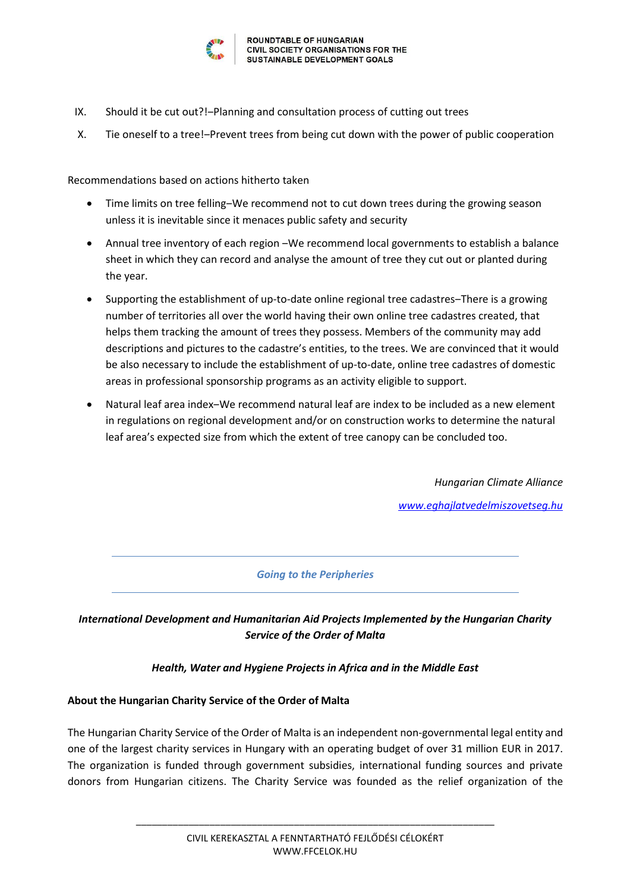

- IX. Should it be cut out?!-Planning and consultation process of cutting out trees
- X. Tie oneself to a tree!-Prevent trees from being cut down with the power of public cooperation

Recommendations based on actions hitherto taken

- Time limits on tree felling–We recommend not to cut down trees during the growing season unless it is inevitable since it menaces public safety and security
- Annual tree inventory of each region We recommend local governments to establish a balance sheet in which they can record and analyse the amount of tree they cut out or planted during the year.
- Supporting the establishment of up-to-date online regional tree cadastres–There is a growing number of territories all over the world having their own online tree cadastres created, that helps them tracking the amount of trees they possess. Members of the community may add descriptions and pictures to the cadastre's entities, to the trees. We are convinced that it would be also necessary to include the establishment of up-to-date, online tree cadastres of domestic areas in professional sponsorship programs as an activity eligible to support.
- Natural leaf area index–We recommend natural leaf are index to be included as a new element in regulations on regional development and/or on construction works to determine the natural leaf area's expected size from which the extent of tree canopy can be concluded too.

*Hungarian Climate Alliance [www.eghajlatvedelmiszovetseg.hu](http://www.eghajlatvedelmiszovetseg.hu/)*

*Going to the Peripheries*

## *International Development and Humanitarian Aid Projects Implemented by the Hungarian Charity Service of the Order of Malta*

## *Health, Water and Hygiene Projects in Africa and in the Middle East*

## **About the Hungarian Charity Service of the Order of Malta**

The Hungarian Charity Service of the Order of Malta is an independent non-governmental legal entity and one of the largest charity services in Hungary with an operating budget of over 31 million EUR in 2017. The organization is funded through government subsidies, international funding sources and private donors from Hungarian citizens. The Charity Service was founded as the relief organization of the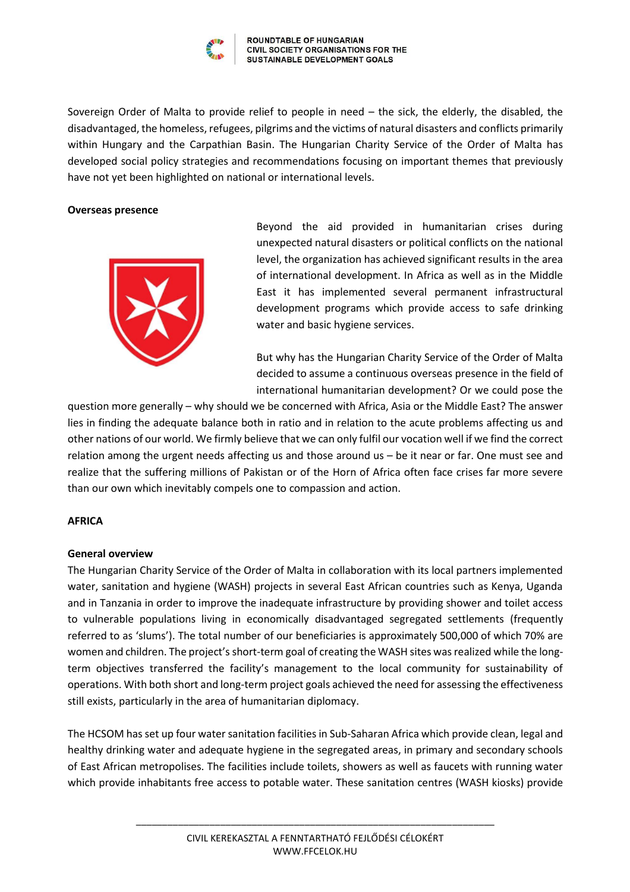

Sovereign Order of Malta to provide relief to people in need – the sick, the elderly, the disabled, the disadvantaged, the homeless, refugees, pilgrims and the victims of natural disasters and conflicts primarily within Hungary and the Carpathian Basin. The Hungarian Charity Service of the Order of Malta has developed social policy strategies and recommendations focusing on important themes that previously have not yet been highlighted on national or international levels.

#### **Overseas presence**



Beyond the aid provided in humanitarian crises during unexpected natural disasters or political conflicts on the national level, the organization has achieved significant results in the area of international development. In Africa as well as in the Middle East it has implemented several permanent infrastructural development programs which provide access to safe drinking water and basic hygiene services.

But why has the Hungarian Charity Service of the Order of Malta decided to assume a continuous overseas presence in the field of international humanitarian development? Or we could pose the

question more generally – why should we be concerned with Africa, Asia or the Middle East? The answer lies in finding the adequate balance both in ratio and in relation to the acute problems affecting us and other nations of our world. We firmly believe that we can only fulfil our vocation well if we find the correct relation among the urgent needs affecting us and those around us – be it near or far. One must see and realize that the suffering millions of Pakistan or of the Horn of Africa often face crises far more severe than our own which inevitably compels one to compassion and action.

## **AFRICA**

## **General overview**

The Hungarian Charity Service of the Order of Malta in collaboration with its local partners implemented water, sanitation and hygiene (WASH) projects in several East African countries such as Kenya, Uganda and in Tanzania in order to improve the inadequate infrastructure by providing shower and toilet access to vulnerable populations living in economically disadvantaged segregated settlements (frequently referred to as 'slums'). The total number of our beneficiaries is approximately 500,000 of which 70% are women and children. The project's short-term goal of creating the WASH sites was realized while the longterm objectives transferred the facility's management to the local community for sustainability of operations. With both short and long-term project goals achieved the need for assessing the effectiveness still exists, particularly in the area of humanitarian diplomacy.

The HCSOM has set up four water sanitation facilities in Sub-Saharan Africa which provide clean, legal and healthy drinking water and adequate hygiene in the segregated areas, in primary and secondary schools of East African metropolises. The facilities include toilets, showers as well as faucets with running water which provide inhabitants free access to potable water. These sanitation centres (WASH kiosks) provide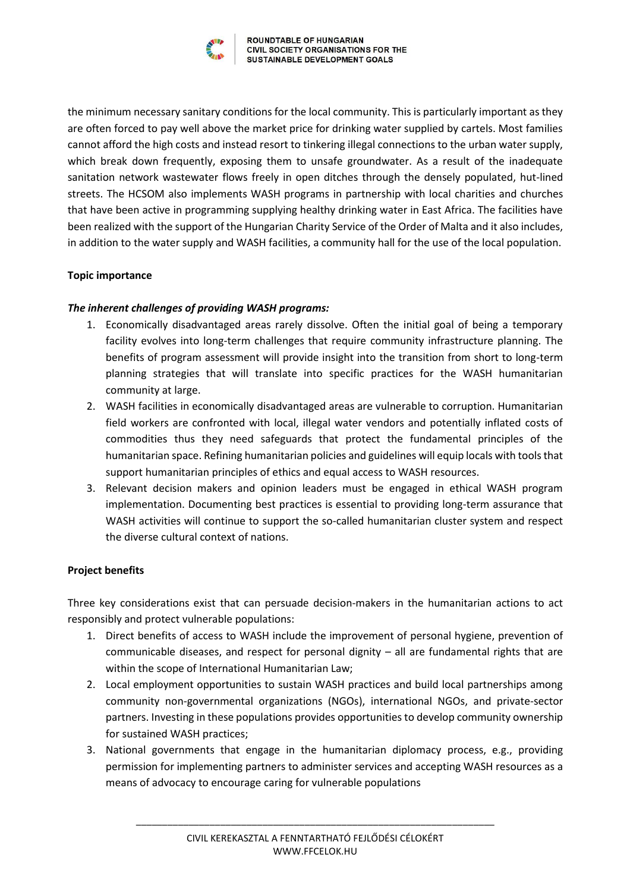

the minimum necessary sanitary conditions for the local community. This is particularly important as they are often forced to pay well above the market price for drinking water supplied by cartels. Most families cannot afford the high costs and instead resort to tinkering illegal connections to the urban water supply, which break down frequently, exposing them to unsafe groundwater. As a result of the inadequate sanitation network wastewater flows freely in open ditches through the densely populated, hut-lined streets. The HCSOM also implements WASH programs in partnership with local charities and churches that have been active in programming supplying healthy drinking water in East Africa. The facilities have been realized with the support of the Hungarian Charity Service of the Order of Malta and it also includes, in addition to the water supply and WASH facilities, a community hall for the use of the local population.

## **Topic importance**

## *The inherent challenges of providing WASH programs:*

- 1. Economically disadvantaged areas rarely dissolve. Often the initial goal of being a temporary facility evolves into long-term challenges that require community infrastructure planning. The benefits of program assessment will provide insight into the transition from short to long-term planning strategies that will translate into specific practices for the WASH humanitarian community at large.
- 2. WASH facilities in economically disadvantaged areas are vulnerable to corruption. Humanitarian field workers are confronted with local, illegal water vendors and potentially inflated costs of commodities thus they need safeguards that protect the fundamental principles of the humanitarian space. Refining humanitarian policies and guidelines will equip locals with tools that support humanitarian principles of ethics and equal access to WASH resources.
- 3. Relevant decision makers and opinion leaders must be engaged in ethical WASH program implementation. Documenting best practices is essential to providing long-term assurance that WASH activities will continue to support the so-called humanitarian cluster system and respect the diverse cultural context of nations.

## **Project benefits**

Three key considerations exist that can persuade decision-makers in the humanitarian actions to act responsibly and protect vulnerable populations:

- 1. Direct benefits of access to WASH include the improvement of personal hygiene, prevention of communicable diseases, and respect for personal dignity – all are fundamental rights that are within the scope of International Humanitarian Law;
- 2. Local employment opportunities to sustain WASH practices and build local partnerships among community non-governmental organizations (NGOs), international NGOs, and private-sector partners. Investing in these populations provides opportunities to develop community ownership for sustained WASH practices;
- 3. National governments that engage in the humanitarian diplomacy process, e.g., providing permission for implementing partners to administer services and accepting WASH resources as a means of advocacy to encourage caring for vulnerable populations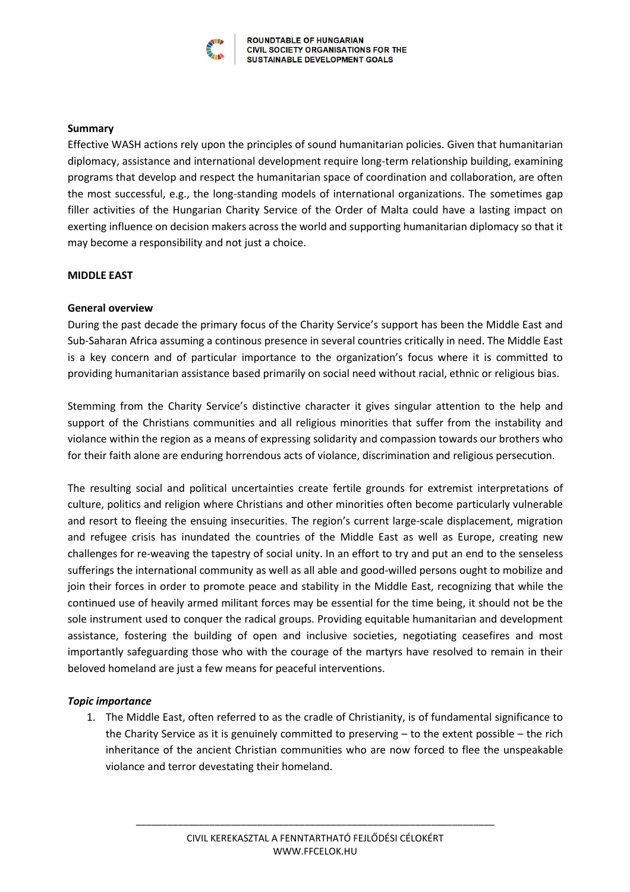

#### **Summary**

Effective WASH actions rely upon the principles of sound humanitarian policies. Given that humanitarian diplomacy, assistance and international development require long-term relationship building, examining programs that develop and respect the humanitarian space of coordination and collaboration, are often the most successful, e.g., the long-standing models of international organizations. The sometimes gap filler activities of the Hungarian Charity Service of the Order of Malta could have a lasting impact on exerting influence on decision makers across the world and supporting humanitarian diplomacy so that it may become a responsibility and not just a choice.

## **MIDDLE EAST**

#### **General overview**

During the past decade the primary focus of the Charity Service's support has been the Middle East and Sub-Saharan Africa assuming a continous presence in several countries critically in need. The Middle East is a key concern and of particular importance to the organization's focus where it is committed to providing humanitarian assistance based primarily on social need without racial, ethnic or religious bias.

Stemming from the Charity Service's distinctive character it gives singular attention to the help and support of the Christians communities and all religious minorities that suffer from the instability and violance within the region as a means of expressing solidarity and compassion towards our brothers who for their faith alone are enduring horrendous acts of violance, discrimination and religious persecution.

The resulting social and political uncertainties create fertile grounds for extremist interpretations of culture, politics and religion where Christians and other minorities often become particularly vulnerable and resort to fleeing the ensuing insecurities. The region's current large-scale displacement, migration and refugee crisis has inundated the countries of the Middle East as well as Europe, creating new challenges for re-weaving the tapestry of social unity. In an effort to try and put an end to the senseless sufferings the international community as well as all able and good-willed persons ought to mobilize and join their forces in order to promote peace and stability in the Middle East, recognizing that while the continued use of heavily armed militant forces may be essential for the time being, it should not be the sole instrument used to conquer the radical groups. Providing equitable humanitarian and development assistance, fostering the building of open and inclusive societies, negotiating ceasefires and most importantly safeguarding those who with the courage of the martyrs have resolved to remain in their beloved homeland are just a few means for peaceful interventions.

## *Topic importance*

1. The Middle East, often referred to as the cradle of Christianity, is of fundamental significance to the Charity Service as it is genuinely committed to preserving – to the extent possible – the rich inheritance of the ancient Christian communities who are now forced to flee the unspeakable violance and terror devestating their homeland.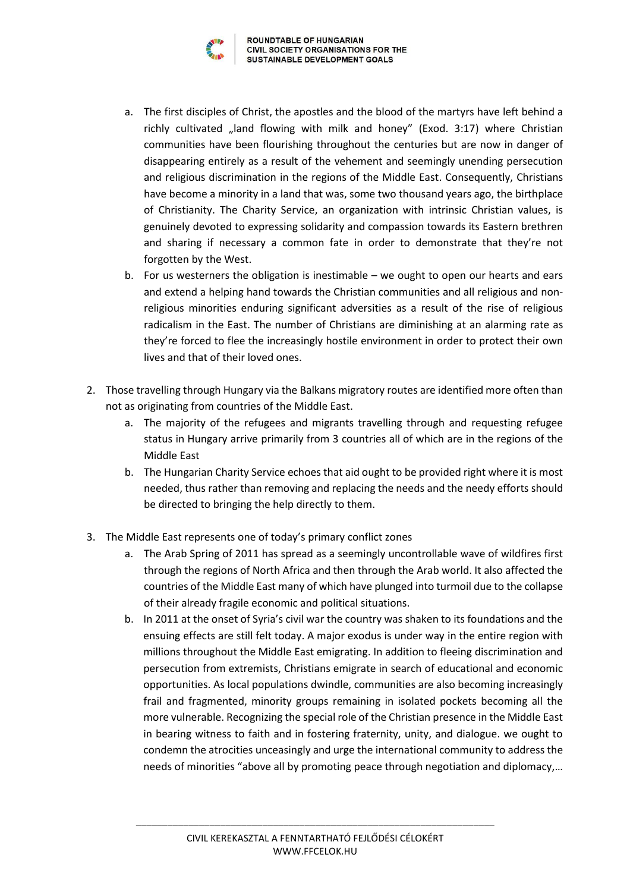

- a. The first disciples of Christ, the apostles and the blood of the martyrs have left behind a richly cultivated "land flowing with milk and honey" (Exod. 3:17) where Christian communities have been flourishing throughout the centuries but are now in danger of disappearing entirely as a result of the vehement and seemingly unending persecution and religious discrimination in the regions of the Middle East. Consequently, Christians have become a minority in a land that was, some two thousand years ago, the birthplace of Christianity. The Charity Service, an organization with intrinsic Christian values, is genuinely devoted to expressing solidarity and compassion towards its Eastern brethren and sharing if necessary a common fate in order to demonstrate that they're not forgotten by the West.
- b. For us westerners the obligation is inestimable we ought to open our hearts and ears and extend a helping hand towards the Christian communities and all religious and nonreligious minorities enduring significant adversities as a result of the rise of religious radicalism in the East. The number of Christians are diminishing at an alarming rate as they're forced to flee the increasingly hostile environment in order to protect their own lives and that of their loved ones.
- 2. Those travelling through Hungary via the Balkans migratory routes are identified more often than not as originating from countries of the Middle East.
	- a. The majority of the refugees and migrants travelling through and requesting refugee status in Hungary arrive primarily from 3 countries all of which are in the regions of the Middle East
	- b. The Hungarian Charity Service echoes that aid ought to be provided right where it is most needed, thus rather than removing and replacing the needs and the needy efforts should be directed to bringing the help directly to them.
- 3. The Middle East represents one of today's primary conflict zones
	- a. The Arab Spring of 2011 has spread as a seemingly uncontrollable wave of wildfires first through the regions of North Africa and then through the Arab world. It also affected the countries of the Middle East many of which have plunged into turmoil due to the collapse of their already fragile economic and political situations.
	- b. In 2011 at the onset of Syria's civil war the country was shaken to its foundations and the ensuing effects are still felt today. A major exodus is under way in the entire region with millions throughout the Middle East emigrating. In addition to fleeing discrimination and persecution from extremists, Christians emigrate in search of educational and economic opportunities. As local populations dwindle, communities are also becoming increasingly frail and fragmented, minority groups remaining in isolated pockets becoming all the more vulnerable. Recognizing the special role of the Christian presence in the Middle East in bearing witness to faith and in fostering fraternity, unity, and dialogue. we ought to condemn the atrocities unceasingly and urge the international community to address the needs of minorities "above all by promoting peace through negotiation and diplomacy,…